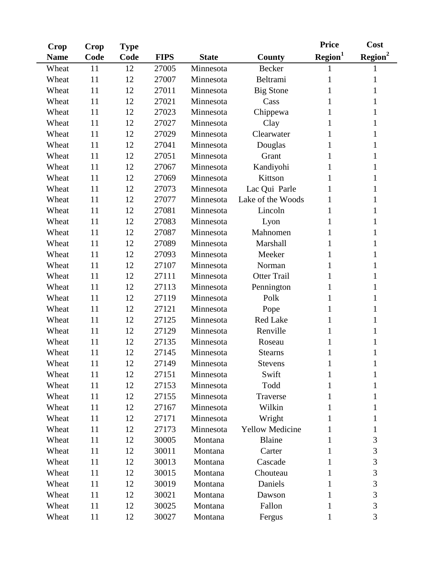| <b>Crop</b> | Crop | <b>Type</b> |             |              |                        | <b>Price</b>        | Cost                |
|-------------|------|-------------|-------------|--------------|------------------------|---------------------|---------------------|
| <b>Name</b> | Code | Code        | <b>FIPS</b> | <b>State</b> | County                 | Region <sup>1</sup> | Resion <sup>2</sup> |
| Wheat       | 11   | 12          | 27005       | Minnesota    | <b>Becker</b>          | 1                   | 1                   |
| Wheat       | 11   | 12          | 27007       | Minnesota    | Beltrami               | 1                   | 1                   |
| Wheat       | 11   | 12          | 27011       | Minnesota    | <b>Big Stone</b>       |                     | 1                   |
| Wheat       | 11   | 12          | 27021       | Minnesota    | Cass                   | 1                   | 1                   |
| Wheat       | 11   | 12          | 27023       | Minnesota    | Chippewa               |                     | 1                   |
| Wheat       | 11   | 12          | 27027       | Minnesota    | Clay                   |                     | 1                   |
| Wheat       | 11   | 12          | 27029       | Minnesota    | Clearwater             |                     | 1                   |
| Wheat       | 11   | 12          | 27041       | Minnesota    | Douglas                |                     | 1                   |
| Wheat       | 11   | 12          | 27051       | Minnesota    | Grant                  |                     | 1                   |
| Wheat       | 11   | 12          | 27067       | Minnesota    | Kandiyohi              |                     | 1                   |
| Wheat       | 11   | 12          | 27069       | Minnesota    | Kittson                | 1                   | 1                   |
| Wheat       | 11   | 12          | 27073       | Minnesota    | Lac Qui Parle          |                     | 1                   |
| Wheat       | 11   | 12          | 27077       | Minnesota    | Lake of the Woods      | 1                   | 1                   |
| Wheat       | 11   | 12          | 27081       | Minnesota    | Lincoln                |                     | 1                   |
| Wheat       | 11   | 12          | 27083       | Minnesota    | Lyon                   | 1                   | 1                   |
| Wheat       | 11   | 12          | 27087       | Minnesota    | Mahnomen               |                     | 1                   |
| Wheat       | 11   | 12          | 27089       | Minnesota    | Marshall               | 1                   | 1                   |
| Wheat       | 11   | 12          | 27093       | Minnesota    | Meeker                 |                     | 1                   |
| Wheat       | 11   | 12          | 27107       | Minnesota    | Norman                 |                     | 1                   |
| Wheat       | 11   | 12          | 27111       | Minnesota    | <b>Otter Trail</b>     |                     | 1                   |
| Wheat       | 11   | 12          | 27113       | Minnesota    | Pennington             |                     | 1                   |
| Wheat       | 11   | 12          | 27119       | Minnesota    | Polk                   |                     | 1                   |
| Wheat       | 11   | 12          | 27121       | Minnesota    | Pope                   |                     | 1                   |
| Wheat       | 11   | 12          | 27125       | Minnesota    | <b>Red Lake</b>        |                     | 1                   |
| Wheat       | 11   | 12          | 27129       | Minnesota    | Renville               |                     | 1                   |
| Wheat       | 11   | 12          | 27135       | Minnesota    | Roseau                 | 1                   | 1                   |
| Wheat       | 11   | 12          | 27145       | Minnesota    | <b>Stearns</b>         |                     | 1                   |
| Wheat       | 11   | 12          | 27149       | Minnesota    | <b>Stevens</b>         | $\mathbf{I}$        | $\bf{l}$            |
| Wheat       | 11   | 12          | 27151       | Minnesota    | Swift                  | 1                   | 1                   |
| Wheat       | 11   | 12          | 27153       | Minnesota    | Todd                   |                     | 1                   |
| Wheat       | 11   | 12          | 27155       | Minnesota    | Traverse               |                     | 1                   |
| Wheat       | 11   | 12          | 27167       | Minnesota    | Wilkin                 | 1                   | 1                   |
| Wheat       | 11   | 12          | 27171       | Minnesota    | Wright                 |                     | 1                   |
| Wheat       | 11   | 12          | 27173       | Minnesota    | <b>Yellow Medicine</b> |                     | 1                   |
| Wheat       | 11   | 12          | 30005       | Montana      | <b>Blaine</b>          | 1                   | 3                   |
| Wheat       | 11   | 12          | 30011       | Montana      | Carter                 |                     | 3                   |
| Wheat       | 11   | 12          | 30013       | Montana      | Cascade                | 1                   | 3                   |
| Wheat       | 11   | 12          | 30015       | Montana      | Chouteau               |                     | 3                   |
| Wheat       | 11   | 12          | 30019       | Montana      | Daniels                | 1                   | 3                   |
| Wheat       | 11   | 12          | 30021       | Montana      | Dawson                 |                     | $\overline{3}$      |
| Wheat       | 11   | 12          | 30025       | Montana      | Fallon                 |                     | 3                   |
| Wheat       | 11   | 12          | 30027       | Montana      | Fergus                 | 1                   | 3                   |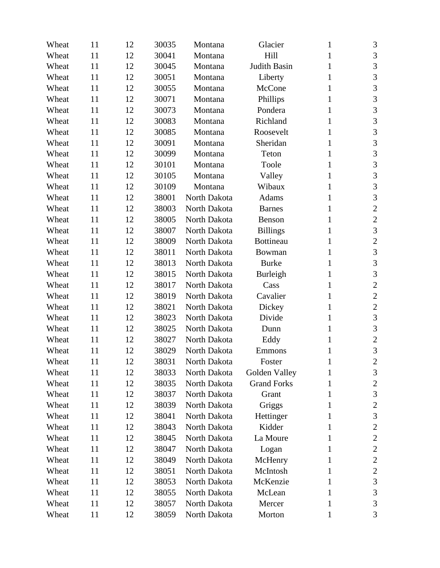| Wheat | 11 | 12 | 30035 | Montana      | Glacier             | 1            | 3                |
|-------|----|----|-------|--------------|---------------------|--------------|------------------|
| Wheat | 11 | 12 | 30041 | Montana      | Hill                | 1            | 3                |
| Wheat | 11 | 12 | 30045 | Montana      | <b>Judith Basin</b> | 1            | 3                |
| Wheat | 11 | 12 | 30051 | Montana      | Liberty             | 1            | 3                |
| Wheat | 11 | 12 | 30055 | Montana      | McCone              | 1            | 3                |
| Wheat | 11 | 12 | 30071 | Montana      | Phillips            | 1            | 3                |
| Wheat | 11 | 12 | 30073 | Montana      | Pondera             | 1            | 3                |
| Wheat | 11 | 12 | 30083 | Montana      | Richland            | 1            | 3                |
| Wheat | 11 | 12 | 30085 | Montana      | Roosevelt           | 1            | 3                |
| Wheat | 11 | 12 | 30091 | Montana      | Sheridan            | 1            | 3                |
| Wheat | 11 | 12 | 30099 | Montana      | Teton               | 1            | 3                |
| Wheat | 11 | 12 | 30101 | Montana      | Toole               | 1            | 3                |
| Wheat | 11 | 12 | 30105 | Montana      | Valley              | 1            | $\mathfrak{Z}$   |
| Wheat | 11 | 12 | 30109 | Montana      | Wibaux              | 1            | 3                |
| Wheat | 11 | 12 | 38001 | North Dakota | Adams               | 1            | 3                |
| Wheat | 11 | 12 | 38003 | North Dakota | <b>Barnes</b>       | 1            | $\boldsymbol{2}$ |
| Wheat | 11 | 12 | 38005 | North Dakota | Benson              | 1            | $\sqrt{2}$       |
| Wheat | 11 | 12 | 38007 | North Dakota | <b>Billings</b>     | 1            | 3                |
| Wheat | 11 | 12 | 38009 | North Dakota | <b>Bottineau</b>    | 1            | $\sqrt{2}$       |
| Wheat | 11 | 12 | 38011 | North Dakota | Bowman              | 1            | 3                |
| Wheat | 11 | 12 | 38013 | North Dakota | <b>Burke</b>        | 1            | 3                |
| Wheat | 11 | 12 | 38015 | North Dakota | Burleigh            | 1            | 3                |
| Wheat | 11 | 12 | 38017 | North Dakota | Cass                | 1            | $\sqrt{2}$       |
| Wheat | 11 | 12 | 38019 | North Dakota | Cavalier            | 1            | $\sqrt{2}$       |
| Wheat | 11 | 12 | 38021 | North Dakota | Dickey              | 1            | $\sqrt{2}$       |
| Wheat | 11 | 12 | 38023 | North Dakota | Divide              | 1            | 3                |
| Wheat | 11 | 12 | 38025 | North Dakota | Dunn                | 1            | 3                |
| Wheat | 11 | 12 | 38027 | North Dakota | Eddy                | 1            | $\sqrt{2}$       |
| Wheat | 11 | 12 | 38029 | North Dakota | Emmons              | 1            | 3                |
| Wheat | 11 | 12 | 38031 | North Dakota | Foster              | $\mathbf{1}$ | $\overline{c}$   |
| Wheat | 11 | 12 | 38033 | North Dakota | Golden Valley       | 1            | 3                |
| Wheat | 11 | 12 | 38035 | North Dakota | <b>Grand Forks</b>  | 1            | $\boldsymbol{2}$ |
| Wheat | 11 | 12 | 38037 | North Dakota | Grant               | 1            | $\mathfrak{Z}$   |
| Wheat | 11 | 12 | 38039 | North Dakota | Griggs              | 1            | $\overline{c}$   |
| Wheat | 11 | 12 | 38041 | North Dakota | Hettinger           | 1            | 3                |
| Wheat | 11 | 12 | 38043 | North Dakota | Kidder              | 1            | $\boldsymbol{2}$ |
| Wheat | 11 | 12 | 38045 | North Dakota | La Moure            | 1            | $\sqrt{2}$       |
| Wheat | 11 | 12 | 38047 | North Dakota | Logan               | 1            | $\sqrt{2}$       |
| Wheat | 11 | 12 | 38049 | North Dakota | McHenry             | 1            | $\sqrt{2}$       |
| Wheat | 11 | 12 | 38051 | North Dakota | McIntosh            | 1            | $\overline{c}$   |
| Wheat | 11 | 12 | 38053 | North Dakota | McKenzie            | 1            | $\mathfrak 3$    |
| Wheat | 11 | 12 | 38055 | North Dakota | McLean              | 1            | 3                |
| Wheat | 11 | 12 | 38057 | North Dakota | Mercer              | 1            | $\mathfrak{Z}$   |
| Wheat | 11 | 12 | 38059 | North Dakota | Morton              | 1            | 3                |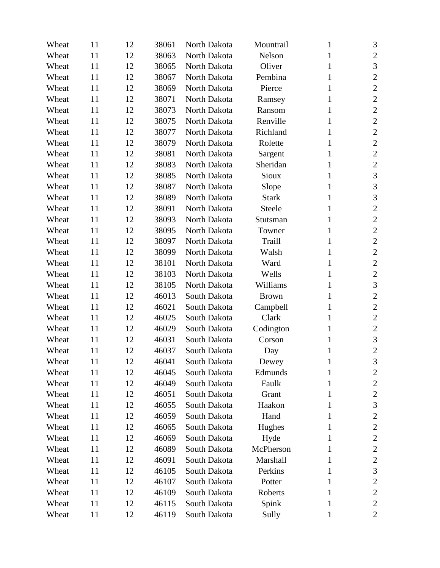| Wheat | 11            | 12 | 38061 | North Dakota | Mountrail    | 1            | 3                |
|-------|---------------|----|-------|--------------|--------------|--------------|------------------|
| Wheat | 11            | 12 | 38063 | North Dakota | Nelson       | 1            | $\mathbf{2}$     |
| Wheat | 11            | 12 | 38065 | North Dakota | Oliver       | 1            | 3                |
| Wheat | 11            | 12 | 38067 | North Dakota | Pembina      | 1            | $\mathbf{2}$     |
| Wheat | 11            | 12 | 38069 | North Dakota | Pierce       | 1            | $\overline{2}$   |
| Wheat | 11            | 12 | 38071 | North Dakota | Ramsey       | 1            | $\mathbf{2}$     |
| Wheat | 11            | 12 | 38073 | North Dakota | Ransom       | 1            | $\overline{2}$   |
| Wheat | 11            | 12 | 38075 | North Dakota | Renville     | 1            | $\overline{2}$   |
| Wheat | 11            | 12 | 38077 | North Dakota | Richland     | 1            | $\overline{2}$   |
| Wheat | 11            | 12 | 38079 | North Dakota | Rolette      | 1            | $\mathbf{2}$     |
| Wheat | 11            | 12 | 38081 | North Dakota | Sargent      | 1            | $\overline{c}$   |
| Wheat | 11            | 12 | 38083 | North Dakota | Sheridan     | 1            | $\overline{2}$   |
| Wheat | 11            | 12 | 38085 | North Dakota | Sioux        | 1            | $\sqrt{3}$       |
| Wheat | 11            | 12 | 38087 | North Dakota | Slope        | 1            | 3                |
| Wheat | 11            | 12 | 38089 | North Dakota | <b>Stark</b> | 1            | 3                |
| Wheat | 11            | 12 | 38091 | North Dakota | Steele       | 1            | $\overline{2}$   |
| Wheat | 11            | 12 | 38093 | North Dakota | Stutsman     | 1            | $\mathbf{2}$     |
| Wheat | 11            | 12 | 38095 | North Dakota | Towner       | 1            | $\overline{2}$   |
| Wheat | 11            | 12 | 38097 | North Dakota | Traill       | 1            | $\mathbf{2}$     |
| Wheat | 11            | 12 | 38099 | North Dakota | Walsh        | 1            | $\overline{2}$   |
| Wheat | 11            | 12 | 38101 | North Dakota | Ward         | 1            | $\overline{2}$   |
| Wheat | 11            | 12 | 38103 | North Dakota | Wells        | 1            | $\sqrt{2}$       |
| Wheat | 11            | 12 | 38105 | North Dakota | Williams     | 1            | 3                |
| Wheat | 11            | 12 | 46013 | South Dakota | <b>Brown</b> | 1            | $\sqrt{2}$       |
| Wheat | 11            | 12 | 46021 | South Dakota | Campbell     | 1            | $\mathbf{2}$     |
| Wheat | 11            | 12 | 46025 | South Dakota | Clark        | 1            | $\mathbf{2}$     |
| Wheat | 11            | 12 | 46029 | South Dakota | Codington    | 1            | $\overline{2}$   |
| Wheat | 11            | 12 | 46031 | South Dakota | Corson       | 1            | $\mathfrak{Z}$   |
| Wheat | 11            | 12 | 46037 | South Dakota | Day          | 1            | $\overline{2}$   |
| Wheat | <sup>11</sup> | 12 | 46041 | South Dakota | Dewey        | $\mathbf{1}$ | $\mathfrak{Z}$   |
| Wheat | 11            | 12 | 46045 | South Dakota | Edmunds      | 1            | $\overline{2}$   |
| Wheat | 11            | 12 | 46049 | South Dakota | Faulk        | 1            | $\overline{c}$   |
| Wheat | 11            | 12 | 46051 | South Dakota | Grant        | 1            | $\overline{c}$   |
| Wheat | 11            | 12 | 46055 | South Dakota | Haakon       | 1            | 3                |
| Wheat | 11            | 12 | 46059 | South Dakota | Hand         | 1            | $\boldsymbol{2}$ |
| Wheat | 11            | 12 | 46065 | South Dakota | Hughes       | 1            | $\mathbf{2}$     |
| Wheat | 11            | 12 | 46069 | South Dakota | Hyde         | 1            | $\boldsymbol{2}$ |
| Wheat | 11            | 12 | 46089 | South Dakota | McPherson    | 1            | $\overline{c}$   |
| Wheat | 11            | 12 | 46091 | South Dakota | Marshall     | 1            | $\sqrt{2}$       |
| Wheat | 11            | 12 | 46105 | South Dakota | Perkins      | 1            | $\mathfrak{Z}$   |
| Wheat | 11            | 12 | 46107 | South Dakota | Potter       | 1            | $\boldsymbol{2}$ |
| Wheat | 11            | 12 | 46109 | South Dakota | Roberts      | 1            | $\mathbf{2}$     |
| Wheat | 11            | 12 | 46115 | South Dakota | Spink        | 1            | $\overline{2}$   |
| Wheat | 11            | 12 | 46119 | South Dakota | Sully        | 1            | $\overline{2}$   |